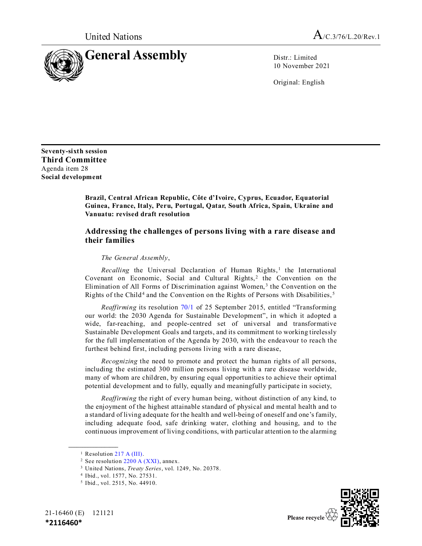

10 November 2021

Original: English

**Seventy-sixth session Third Committee** Agenda item 28 **Social development**

> **Brazil, Central African Republic, Côte d'Ivoire, Cyprus, Ecuador, Equatorial Guinea, France, Italy, Peru, Portugal, Qatar, South Africa, Spain, Ukraine and Vanuatu: revised draft resolution**

## **Addressing the challenges of persons living with a rare disease and their families**

## *The General Assembly*,

*Recalling* the Universal Declaration of Human Rights,<sup>1</sup> the International Covenant on Economic, Social and Cultural Rights, $2$  the Convention on the Elimination of All Forms of Discrimination against Women, <sup>3</sup> the Convention on the Rights of the Child<sup>4</sup> and the Convention on the Rights of Persons with Disabilities,<sup>5</sup>

*Reaffirming* its resolution [70/1](https://undocs.org/en/A/RES/70/1) of 25 September 2015, entitled "Transforming our world: the 2030 Agenda for Sustainable Development", in which it adopted a wide, far-reaching, and people-centred set of universal and transformative Sustainable Development Goals and targets, and its commitment to working tirelessly for the full implementation of the Agenda by 2030, with the endeavour to reach the furthest behind first, including persons living with a rare disease,

*Recognizing* the need to promote and protect the human rights of all persons, including the estimated 300 million persons living with a rare disease worldwide, many of whom are children, by ensuring equal opportunities to achieve their optimal potential development and to fully, equally and meaningfully participate in society,

*Reaffirming* the right of every human being, without distinction of any kind, to the enjoyment of the highest attainable standard of physical and mental health and to a standard of living adequate for the health and well-being of oneself and one's family, including adequate food, safe drinking water, clothing and housing, and to the continuous improvement of living conditions, with particular attention to the alarming

**\_\_\_\_\_\_\_\_\_\_\_\_\_\_\_\_\_\_**

<sup>5</sup> Ibid., vol. 2515, No. 44910.





<sup>&</sup>lt;sup>1</sup> Resolution [217 A \(III\).](https://undocs.org/en/A/RES/217(III))

<sup>&</sup>lt;sup>2</sup> See resolution  $2200 \text{ A (XXI)}$ , annex.

<sup>3</sup> United Nations, *Treaty Series*, vol. 1249, No. 20378.

<sup>4</sup> Ibid., vol. 1577, No. 27531.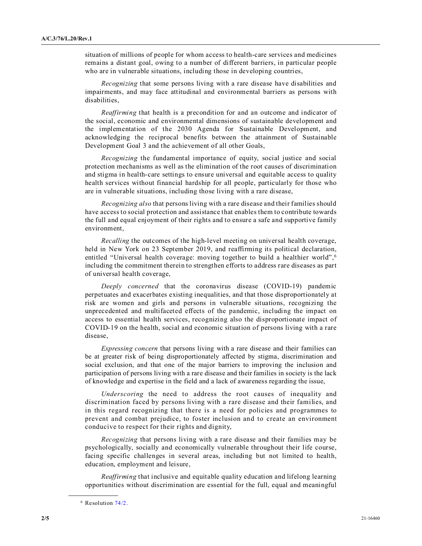situation of millions of people for whom access to health-care services and medicines remains a distant goal, owing to a number of different barriers, in particular people who are in vulnerable situations, including those in developing countries,

*Recognizing* that some persons living with a rare disease have disabilities and impairments, and may face attitudinal and environmental barriers as persons with disabilities,

*Reaffirming* that health is a precondition for and an outcome and indicator of the social, economic and environmental dimensions of sustainable development and the implementation of the 2030 Agenda for Sustainable Development, and acknowledging the reciprocal benefits between the attainment of Sustainable Development Goal 3 and the achievement of all other Goals,

*Recognizing* the fundamental importance of equity, social justice and social protection mechanisms as well as the elimination of the root causes of discrimination and stigma in health-care settings to ensure universal and equitable access to quality health services without financial hardship for all people, particularly for those who are in vulnerable situations, including those living with a rare disease,

*Recognizing also* that persons living with a rare disease and their families should have access to social protection and assistance that enables them to contribute towards the full and equal enjoyment of their rights and to ensure a safe and supportive family environment,

*Recalling* the outcomes of the high-level meeting on universal health coverage, held in New York on 23 September 2019, and reaffirming its political declaration, entitled "Universal health coverage: moving together to build a healthier world",<sup>6</sup> including the commitment therein to strengthen efforts to address rare diseases as part of universal health coverage,

*Deeply concerned* that the coronavirus disease (COVID-19) pandemic perpetuates and exacerbates existing inequalities, and that those disproportionately at risk are women and girls and persons in vulnerable situations, recognizing the unprecedented and multifaceted effects of the pandemic, including the impact on access to essential health services, recognizing also the disproportionate impact of COVID-19 on the health, social and economic situation of persons living with a rare disease,

*Expressing concern* that persons living with a rare disease and their families can be at greater risk of being disproportionately affected by stigma, discrimination and social exclusion, and that one of the major barriers to improving the inclusion and participation of persons living with a rare disease and their families in society is the lack of knowledge and expertise in the field and a lack of awareness regarding the issue,

*Underscoring* the need to address the root causes of inequality and discrimination faced by persons living with a rare disease and their families, and in this regard recognizing that there is a need for policies and programmes to prevent and combat prejudice, to foster inclusion and to create an environment conducive to respect for their rights and dignity,

*Recognizing* that persons living with a rare disease and their families may be psychologically, socially and economically vulnerable throughout their life course, facing specific challenges in several areas, including but not limited to health, education, employment and leisure,

*Reaffirming* that inclusive and equitable quality education and lifelong learning opportunities without discrimination are essential for the full, equal and meaningful

**\_\_\_\_\_\_\_\_\_\_\_\_\_\_\_\_\_\_**

<sup>6</sup> Resolution [74/2.](https://undocs.org/en/A/RES/74/2)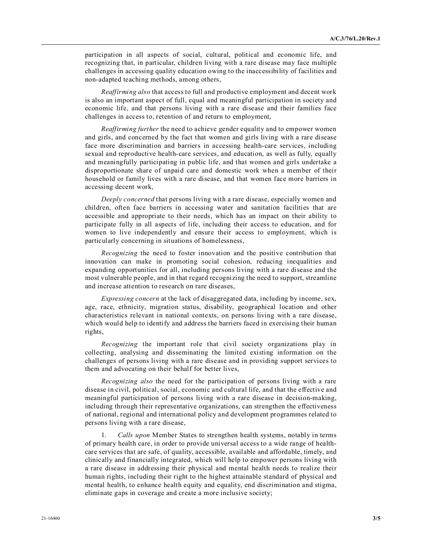participation in all aspects of social, cultural, political and economic life, and recognizing that, in particular, children living with a rare disease may face multiple challenges in accessing quality education owing to the inaccessibility of facilities and non-adapted teaching methods, among others,

*Reaffirming also* that access to full and productive employment and decent work is also an important aspect of full, equal and meaningful participation in society and economic life, and that persons living with a rare disease and their families face challenges in access to, retention of and return to employment,

*Reaffirming further* the need to achieve gender equality and to empower women and girls, and concerned by the fact that women and girls living with a rare disease face more discrimination and barriers in accessing health-care services, including sexual and reproductive health-care services, and education, as well as fully, equally and meaningfully participating in public life, and that women and girls undertake a disproportionate share of unpaid care and domestic work when a member of their household or family lives with a rare disease, and that women face more barriers in accessing decent work,

*Deeply concerned* that persons living with a rare disease, especially women and children, often face barriers in accessing water and sanitation facilities that are accessible and appropriate to their needs, which has an impact on their ability to participate fully in all aspects of life, including their access to education, and for women to live independently and ensure their access to employment, which is particularly concerning in situations of homelessness,

*Recognizing* the need to foster innovation and the positive contribution that innovation can make in promoting social cohesion, reducing inequalities and expanding opportunities for all, including persons living with a rare disease and the most vulnerable people, and in that regard recognizing the need to support, streamline and increase attention to research on rare diseases,

*Expressing concern* at the lack of disaggregated data, including by income, sex, age, race, ethnicity, migration status, disability, geographical location and other characteristics relevant in national contexts, on persons living with a rare disease, which would help to identify and address the barriers faced in exercising their human rights,

*Recognizing* the important role that civil society organizations play in collecting, analysing and disseminating the limited existing information on the challenges of persons living with a rare disease and in providing support services to them and advocating on their behalf for better lives,

*Recognizing also* the need for the participation of persons living with a rare disease in civil, political, social, economic and cultural life, and that the effective and meaningful participation of persons living with a rare disease in decision-making, including through their representative organizations, can strengthen the effectiveness of national, regional and international policy and development programmes related to persons living with a rare disease,

Calls upon Member States to strengthen health systems, notably in terms of primary health care, in order to provide universal access to a wide range of healthcare services that are safe, of quality, accessible, available and affordable, timely, and clinically and financially integrated, which will help to empower persons living with a rare disease in addressing their physical and mental health needs to realize their human rights, including their right to the highest attainable standard of physical and mental health, to enhance health equity and equality, end discrimination and stigma, eliminate gaps in coverage and create a more inclusive society;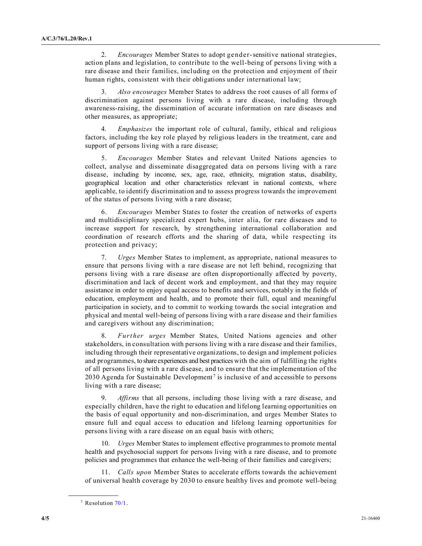2. *Encourages* Member States to adopt gender-sensitive national strategies, action plans and legislation, to contribute to the well-being of persons living with a rare disease and their families, including on the protection and enjoyment of their human rights, consistent with their obligations under international law;

3. *Also encourages* Member States to address the root causes of all forms of discrimination against persons living with a rare disease, including through awareness-raising, the dissemination of accurate information on rare diseases and other measures, as appropriate;

4. *Emphasizes* the important role of cultural, family, ethical and religious factors, including the key role played by religious leaders in the treatment, care and support of persons living with a rare disease;

5. *Encourages* Member States and relevant United Nations agencies to collect, analyse and disseminate disaggregated data on persons living with a rare disease, including by income, sex, age, race, ethnicity, migration status, disability, geographical location and other characteristics relevant in national contexts, where applicable, to identify discrimination and to assess progress towards the improvement of the status of persons living with a rare disease;

6. *Encourages* Member States to foster the creation of networks of experts and multidisciplinary specialized expert hubs, inter alia, for rare diseases and to increase support for research, by strengthening international collaboration and coordination of research efforts and the sharing of data, while respecting its protection and privacy;

7. *Urges* Member States to implement, as appropriate, national measures to ensure that persons living with a rare disease are not left behind, recognizing that persons living with a rare disease are often disproportionally affected by poverty, discrimination and lack of decent work and employment, and that they may require assistance in order to enjoy equal access to benefits and services, notably in the fields of education, employment and health, and to promote their full, equal and meaningful participation in society, and to commit to working towards the social integration and physical and mental well-being of persons living with a rare disease and their families and caregivers without any discrimination;

8. *Further urges* Member States, United Nations agencies and other stakeholders, in consultation with persons living with a rare disease and their families, including through their representative organizations, to design and implement policies and programmes, to share experiences and best practices with the aim of fulfilling the rights of all persons living with a rare disease, and to ensure that the implementation of the 2030 Agenda for Sustainable Development<sup>7</sup> is inclusive of and accessible to persons living with a rare disease;

9. *Affirms* that all persons, including those living with a rare disease, and especially children, have the right to education and lifelong learning opportunities on the basis of equal opportunity and non-discrimination, and urges Member States to ensure full and equal access to education and lifelong learning opportunities for persons living with a rare disease on an equal basis with others;

10. *Urges* Member States to implement effective programmes to promote mental health and psychosocial support for persons living with a rare disease, and to promote policies and programmes that enhance the well-being of their families and caregivers;

11. *Calls upon* Member States to accelerate efforts towards the achievement of universal health coverage by 2030 to ensure healthy lives and promote well-being

**\_\_\_\_\_\_\_\_\_\_\_\_\_\_\_\_\_\_**

<sup>7</sup> Resolution [70/1.](https://undocs.org/en/A/RES/70/1)